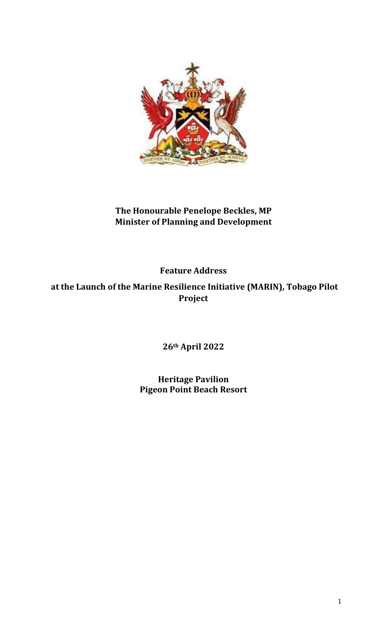

## The Honourable Penelope Beckles, MP Minister of Planning and Development

Feature Address

 at the Launch of the Marine Resilience Initiative (MARIN), Tobago Pilot Project

26th April 2022

Heritage Pavilion Pigeon Point Beach Resort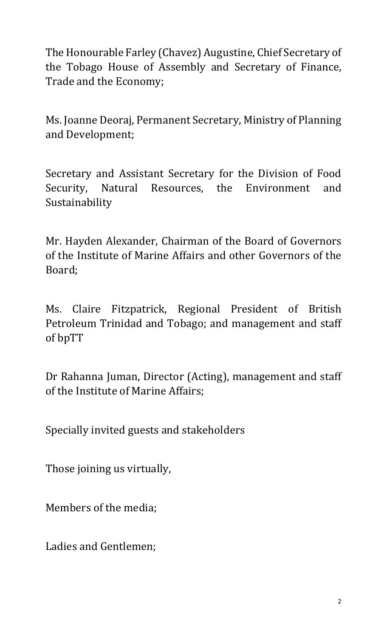The Honourable Farley (Chavez) Augustine, Chief Secretary of the Tobago House of Assembly and Secretary of Finance, Trade and the Economy;

Ms. Joanne Deoraj, Permanent Secretary, Ministry of Planning and Development;

Secretary and Assistant Secretary for the Division of Food Security, Natural Resources, the Environment and Sustainability

Mr. Hayden Alexander, Chairman of the Board of Governors of the Institute of Marine Affairs and other Governors of the Board;

Ms. Claire Fitzpatrick, Regional President of British Petroleum Trinidad and Tobago; and management and staff of bpTT

Dr Rahanna Juman, Director (Acting), management and staff of the Institute of Marine Affairs;

Specially invited guests and stakeholders

Those joining us virtually,

Members of the media;

Ladies and Gentlemen;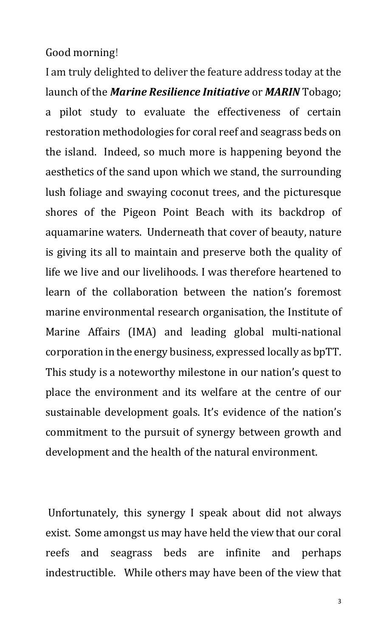## Good morning!

I am truly delighted to deliver the feature address today at the launch of the **Marine Resilience Initiative** or **MARIN** Tobago; a pilot study to evaluate the effectiveness of certain restoration methodologies for coral reef and seagrass beds on the island. Indeed, so much more is happening beyond the aesthetics of the sand upon which we stand, the surrounding lush foliage and swaying coconut trees, and the picturesque shores of the Pigeon Point Beach with its backdrop of aquamarine waters. Underneath that cover of beauty, nature is giving its all to maintain and preserve both the quality of life we live and our livelihoods. I was therefore heartened to learn of the collaboration between the nation's foremost marine environmental research organisation, the Institute of Marine Affairs (IMA) and leading global multi-national corporation in the energy business, expressed locally as bpTT. This study is a noteworthy milestone in our nation's quest to place the environment and its welfare at the centre of our sustainable development goals. It's evidence of the nation's commitment to the pursuit of synergy between growth and development and the health of the natural environment.

 Unfortunately, this synergy I speak about did not always exist. Some amongst us may have held the view that our coral reefs and seagrass beds are infinite and perhaps indestructible. While others may have been of the view that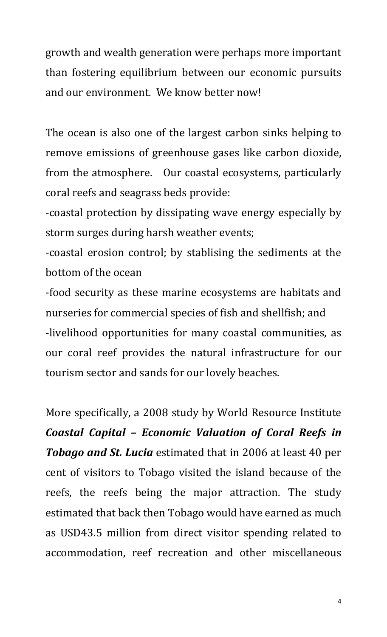growth and wealth generation were perhaps more important than fostering equilibrium between our economic pursuits and our environment. We know better now!

The ocean is also one of the largest carbon sinks helping to remove emissions of greenhouse gases like carbon dioxide, from the atmosphere. Our coastal ecosystems, particularly coral reefs and seagrass beds provide:

-coastal protection by dissipating wave energy especially by storm surges during harsh weather events;

-coastal erosion control; by stablising the sediments at the bottom of the ocean

-food security as these marine ecosystems are habitats and nurseries for commercial species of fish and shellfish; and -livelihood opportunities for many coastal communities, as our coral reef provides the natural infrastructure for our tourism sector and sands for our lovely beaches.

More specifically, a 2008 study by World Resource Institute Coastal Capital – Economic Valuation of Coral Reefs in **Tobago and St. Lucia** estimated that in 2006 at least 40 per cent of visitors to Tobago visited the island because of the reefs, the reefs being the major attraction. The study estimated that back then Tobago would have earned as much as USD43.5 million from direct visitor spending related to accommodation, reef recreation and other miscellaneous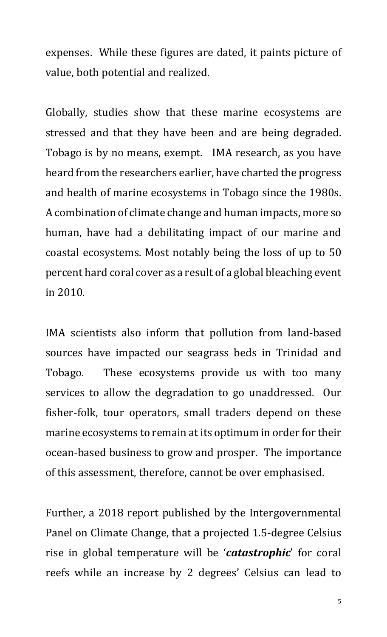expenses. While these figures are dated, it paints picture of value, both potential and realized.

Globally, studies show that these marine ecosystems are stressed and that they have been and are being degraded. Tobago is by no means, exempt. IMA research, as you have heard from the researchers earlier, have charted the progress and health of marine ecosystems in Tobago since the 1980s. A combination of climate change and human impacts, more so human, have had a debilitating impact of our marine and coastal ecosystems. Most notably being the loss of up to 50 percent hard coral cover as a result of a global bleaching event in 2010.

IMA scientists also inform that pollution from land-based sources have impacted our seagrass beds in Trinidad and Tobago. These ecosystems provide us with too many services to allow the degradation to go unaddressed. Our fisher-folk, tour operators, small traders depend on these marine ecosystems to remain at its optimum in order for their ocean-based business to grow and prosper. The importance of this assessment, therefore, cannot be over emphasised.

Further, a 2018 report published by the Intergovernmental Panel on Climate Change, that a projected 1.5-degree Celsius rise in global temperature will be 'catastrophic' for coral reefs while an increase by 2 degrees' Celsius can lead to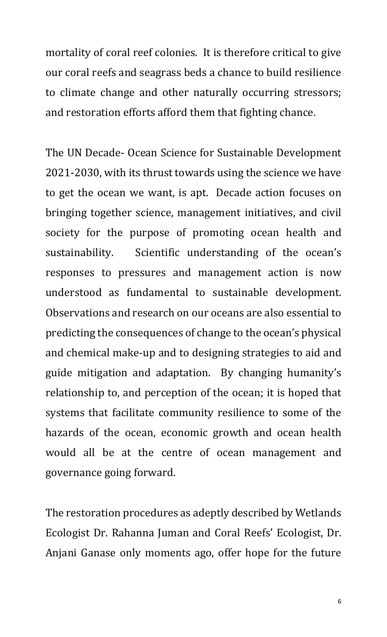mortality of coral reef colonies. It is therefore critical to give our coral reefs and seagrass beds a chance to build resilience to climate change and other naturally occurring stressors; and restoration efforts afford them that fighting chance.

The UN Decade- Ocean Science for Sustainable Development 2021-2030, with its thrust towards using the science we have to get the ocean we want, is apt. Decade action focuses on bringing together science, management initiatives, and civil society for the purpose of promoting ocean health and sustainability. Scientific understanding of the ocean's responses to pressures and management action is now understood as fundamental to sustainable development. Observations and research on our oceans are also essential to predicting the consequences of change to the ocean's physical and chemical make-up and to designing strategies to aid and guide mitigation and adaptation. By changing humanity's relationship to, and perception of the ocean; it is hoped that systems that facilitate community resilience to some of the hazards of the ocean, economic growth and ocean health would all be at the centre of ocean management and governance going forward.

The restoration procedures as adeptly described by Wetlands Ecologist Dr. Rahanna Juman and Coral Reefs' Ecologist, Dr. Anjani Ganase only moments ago, offer hope for the future

6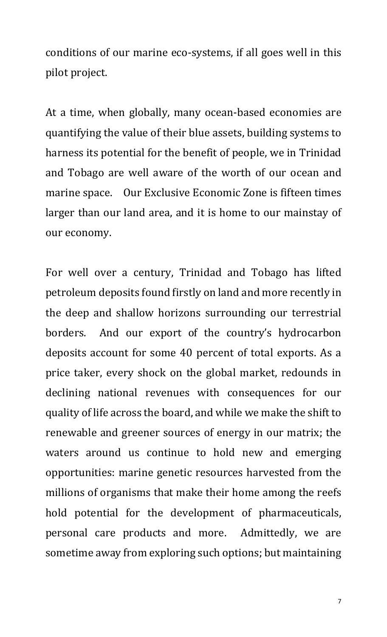conditions of our marine eco-systems, if all goes well in this pilot project.

At a time, when globally, many ocean-based economies are quantifying the value of their blue assets, building systems to harness its potential for the benefit of people, we in Trinidad and Tobago are well aware of the worth of our ocean and marine space. Our Exclusive Economic Zone is fifteen times larger than our land area, and it is home to our mainstay of our economy.

For well over a century, Trinidad and Tobago has lifted petroleum deposits found firstly on land and more recently in the deep and shallow horizons surrounding our terrestrial borders. And our export of the country's hydrocarbon deposits account for some 40 percent of total exports. As a price taker, every shock on the global market, redounds in declining national revenues with consequences for our quality of life across the board, and while we make the shift to renewable and greener sources of energy in our matrix; the waters around us continue to hold new and emerging opportunities: marine genetic resources harvested from the millions of organisms that make their home among the reefs hold potential for the development of pharmaceuticals, personal care products and more. Admittedly, we are sometime away from exploring such options; but maintaining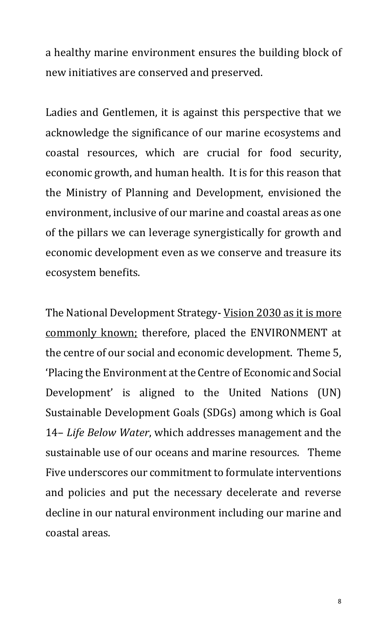a healthy marine environment ensures the building block of new initiatives are conserved and preserved.

Ladies and Gentlemen, it is against this perspective that we acknowledge the significance of our marine ecosystems and coastal resources, which are crucial for food security, economic growth, and human health. It is for this reason that the Ministry of Planning and Development, envisioned the environment, inclusive of our marine and coastal areas as one of the pillars we can leverage synergistically for growth and economic development even as we conserve and treasure its ecosystem benefits.

The National Development Strategy- Vision 2030 as it is more commonly known; therefore, placed the ENVIRONMENT at the centre of our social and economic development. Theme 5, 'Placing the Environment at the Centre of Economic and Social Development' is aligned to the United Nations (UN) Sustainable Development Goals (SDGs) among which is Goal 14– Life Below Water, which addresses management and the sustainable use of our oceans and marine resources. Theme Five underscores our commitment to formulate interventions and policies and put the necessary decelerate and reverse decline in our natural environment including our marine and coastal areas.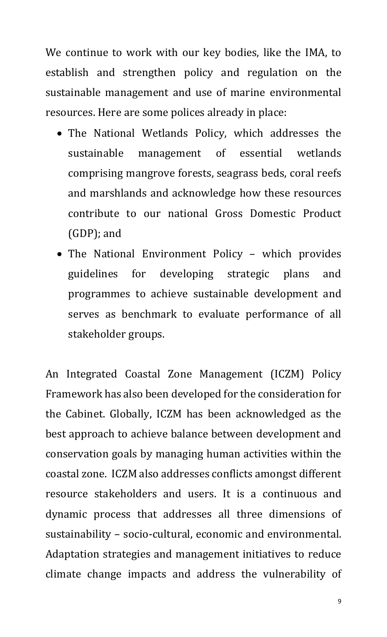We continue to work with our key bodies, like the IMA, to establish and strengthen policy and regulation on the sustainable management and use of marine environmental resources. Here are some polices already in place:

- The National Wetlands Policy, which addresses the sustainable management of essential wetlands comprising mangrove forests, seagrass beds, coral reefs and marshlands and acknowledge how these resources contribute to our national Gross Domestic Product (GDP); and
- The National Environment Policy which provides guidelines for developing strategic plans and programmes to achieve sustainable development and serves as benchmark to evaluate performance of all stakeholder groups.

An Integrated Coastal Zone Management (ICZM) Policy Framework has also been developed for the consideration for the Cabinet. Globally, ICZM has been acknowledged as the best approach to achieve balance between development and conservation goals by managing human activities within the coastal zone. ICZM also addresses conflicts amongst different resource stakeholders and users. It is a continuous and dynamic process that addresses all three dimensions of sustainability – socio-cultural, economic and environmental. Adaptation strategies and management initiatives to reduce climate change impacts and address the vulnerability of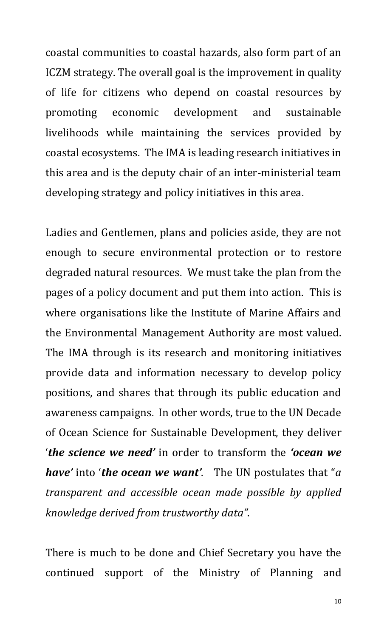coastal communities to coastal hazards, also form part of an ICZM strategy. The overall goal is the improvement in quality of life for citizens who depend on coastal resources by promoting economic development and sustainable livelihoods while maintaining the services provided by coastal ecosystems. The IMA is leading research initiatives in this area and is the deputy chair of an inter-ministerial team developing strategy and policy initiatives in this area.

Ladies and Gentlemen, plans and policies aside, they are not enough to secure environmental protection or to restore degraded natural resources. We must take the plan from the pages of a policy document and put them into action. This is where organisations like the Institute of Marine Affairs and the Environmental Management Authority are most valued. The IMA through is its research and monitoring initiatives provide data and information necessary to develop policy positions, and shares that through its public education and awareness campaigns. In other words, true to the UN Decade of Ocean Science for Sustainable Development, they deliver 'the science we need' in order to transform the 'ocean we have' into 'the ocean we want'. The UN postulates that "a transparent and accessible ocean made possible by applied knowledge derived from trustworthy data".

There is much to be done and Chief Secretary you have the continued support of the Ministry of Planning and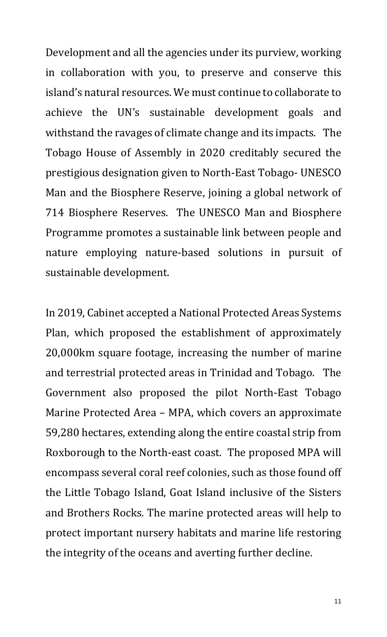Development and all the agencies under its purview, working in collaboration with you, to preserve and conserve this island's natural resources. We must continue to collaborate to achieve the UN's sustainable development goals and withstand the ravages of climate change and its impacts. The Tobago House of Assembly in 2020 creditably secured the prestigious designation given to North-East Tobago- UNESCO Man and the Biosphere Reserve, joining a global network of 714 Biosphere Reserves. The UNESCO Man and Biosphere Programme promotes a sustainable link between people and nature employing nature-based solutions in pursuit of sustainable development.

In 2019, Cabinet accepted a National Protected Areas Systems Plan, which proposed the establishment of approximately 20,000km square footage, increasing the number of marine and terrestrial protected areas in Trinidad and Tobago. The Government also proposed the pilot North-East Tobago Marine Protected Area – MPA, which covers an approximate 59,280 hectares, extending along the entire coastal strip from Roxborough to the North-east coast. The proposed MPA will encompass several coral reef colonies, such as those found off the Little Tobago Island, Goat Island inclusive of the Sisters and Brothers Rocks. The marine protected areas will help to protect important nursery habitats and marine life restoring the integrity of the oceans and averting further decline.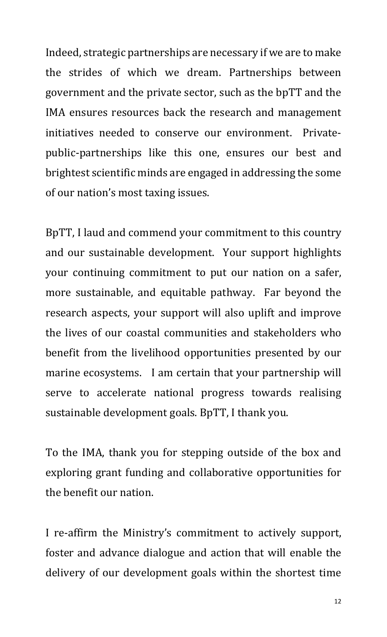Indeed, strategic partnerships are necessary if we are to make the strides of which we dream. Partnerships between government and the private sector, such as the bpTT and the IMA ensures resources back the research and management initiatives needed to conserve our environment. Privatepublic-partnerships like this one, ensures our best and brightest scientific minds are engaged in addressing the some of our nation's most taxing issues.

BpTT, I laud and commend your commitment to this country and our sustainable development. Your support highlights your continuing commitment to put our nation on a safer, more sustainable, and equitable pathway. Far beyond the research aspects, your support will also uplift and improve the lives of our coastal communities and stakeholders who benefit from the livelihood opportunities presented by our marine ecosystems. I am certain that your partnership will serve to accelerate national progress towards realising sustainable development goals. BpTT, I thank you.

To the IMA, thank you for stepping outside of the box and exploring grant funding and collaborative opportunities for the benefit our nation.

I re-affirm the Ministry's commitment to actively support, foster and advance dialogue and action that will enable the delivery of our development goals within the shortest time